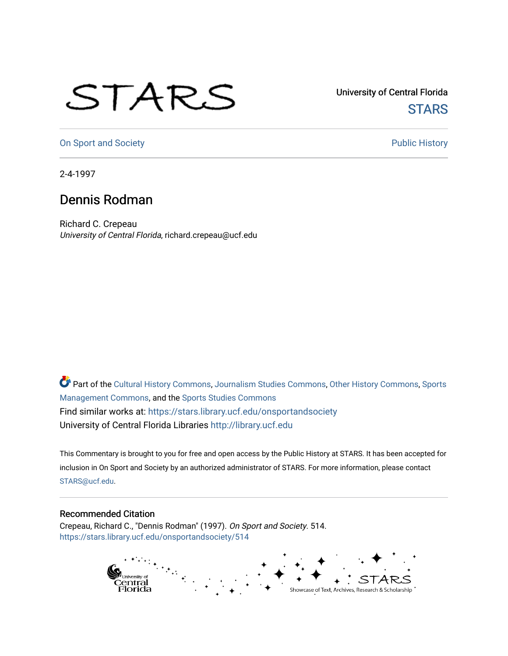## STARS

University of Central Florida **STARS** 

[On Sport and Society](https://stars.library.ucf.edu/onsportandsociety) **Public History** Public History

2-4-1997

## Dennis Rodman

Richard C. Crepeau University of Central Florida, richard.crepeau@ucf.edu

Part of the [Cultural History Commons](http://network.bepress.com/hgg/discipline/496?utm_source=stars.library.ucf.edu%2Fonsportandsociety%2F514&utm_medium=PDF&utm_campaign=PDFCoverPages), [Journalism Studies Commons,](http://network.bepress.com/hgg/discipline/333?utm_source=stars.library.ucf.edu%2Fonsportandsociety%2F514&utm_medium=PDF&utm_campaign=PDFCoverPages) [Other History Commons,](http://network.bepress.com/hgg/discipline/508?utm_source=stars.library.ucf.edu%2Fonsportandsociety%2F514&utm_medium=PDF&utm_campaign=PDFCoverPages) [Sports](http://network.bepress.com/hgg/discipline/1193?utm_source=stars.library.ucf.edu%2Fonsportandsociety%2F514&utm_medium=PDF&utm_campaign=PDFCoverPages) [Management Commons](http://network.bepress.com/hgg/discipline/1193?utm_source=stars.library.ucf.edu%2Fonsportandsociety%2F514&utm_medium=PDF&utm_campaign=PDFCoverPages), and the [Sports Studies Commons](http://network.bepress.com/hgg/discipline/1198?utm_source=stars.library.ucf.edu%2Fonsportandsociety%2F514&utm_medium=PDF&utm_campaign=PDFCoverPages) Find similar works at: <https://stars.library.ucf.edu/onsportandsociety> University of Central Florida Libraries [http://library.ucf.edu](http://library.ucf.edu/) 

This Commentary is brought to you for free and open access by the Public History at STARS. It has been accepted for inclusion in On Sport and Society by an authorized administrator of STARS. For more information, please contact [STARS@ucf.edu](mailto:STARS@ucf.edu).

## Recommended Citation

Crepeau, Richard C., "Dennis Rodman" (1997). On Sport and Society. 514. [https://stars.library.ucf.edu/onsportandsociety/514](https://stars.library.ucf.edu/onsportandsociety/514?utm_source=stars.library.ucf.edu%2Fonsportandsociety%2F514&utm_medium=PDF&utm_campaign=PDFCoverPages)

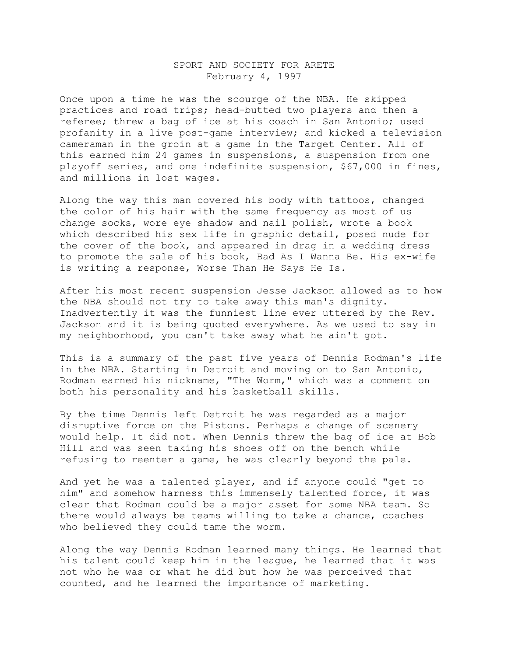## SPORT AND SOCIETY FOR ARETE February 4, 1997

Once upon a time he was the scourge of the NBA. He skipped practices and road trips; head-butted two players and then a referee; threw a bag of ice at his coach in San Antonio; used profanity in a live post-game interview; and kicked a television cameraman in the groin at a game in the Target Center. All of this earned him 24 games in suspensions, a suspension from one playoff series, and one indefinite suspension, \$67,000 in fines, and millions in lost wages.

Along the way this man covered his body with tattoos, changed the color of his hair with the same frequency as most of us change socks, wore eye shadow and nail polish, wrote a book which described his sex life in graphic detail, posed nude for the cover of the book, and appeared in drag in a wedding dress to promote the sale of his book, Bad As I Wanna Be. His ex-wife is writing a response, Worse Than He Says He Is.

After his most recent suspension Jesse Jackson allowed as to how the NBA should not try to take away this man's dignity. Inadvertently it was the funniest line ever uttered by the Rev. Jackson and it is being quoted everywhere. As we used to say in my neighborhood, you can't take away what he ain't got.

This is a summary of the past five years of Dennis Rodman's life in the NBA. Starting in Detroit and moving on to San Antonio, Rodman earned his nickname, "The Worm," which was a comment on both his personality and his basketball skills.

By the time Dennis left Detroit he was regarded as a major disruptive force on the Pistons. Perhaps a change of scenery would help. It did not. When Dennis threw the bag of ice at Bob Hill and was seen taking his shoes off on the bench while refusing to reenter a game, he was clearly beyond the pale.

And yet he was a talented player, and if anyone could "get to him" and somehow harness this immensely talented force, it was clear that Rodman could be a major asset for some NBA team. So there would always be teams willing to take a chance, coaches who believed they could tame the worm.

Along the way Dennis Rodman learned many things. He learned that his talent could keep him in the league, he learned that it was not who he was or what he did but how he was perceived that counted, and he learned the importance of marketing.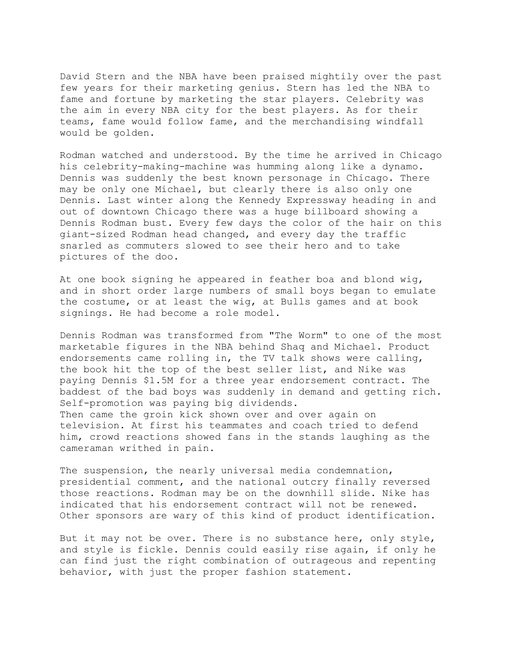David Stern and the NBA have been praised mightily over the past few years for their marketing genius. Stern has led the NBA to fame and fortune by marketing the star players. Celebrity was the aim in every NBA city for the best players. As for their teams, fame would follow fame, and the merchandising windfall would be golden.

Rodman watched and understood. By the time he arrived in Chicago his celebrity-making-machine was humming along like a dynamo. Dennis was suddenly the best known personage in Chicago. There may be only one Michael, but clearly there is also only one Dennis. Last winter along the Kennedy Expressway heading in and out of downtown Chicago there was a huge billboard showing a Dennis Rodman bust. Every few days the color of the hair on this giant-sized Rodman head changed, and every day the traffic snarled as commuters slowed to see their hero and to take pictures of the doo.

At one book signing he appeared in feather boa and blond wig, and in short order large numbers of small boys began to emulate the costume, or at least the wig, at Bulls games and at book signings. He had become a role model.

Dennis Rodman was transformed from "The Worm" to one of the most marketable figures in the NBA behind Shaq and Michael. Product endorsements came rolling in, the TV talk shows were calling, the book hit the top of the best seller list, and Nike was paying Dennis \$1.5M for a three year endorsement contract. The baddest of the bad boys was suddenly in demand and getting rich. Self-promotion was paying big dividends. Then came the groin kick shown over and over again on television. At first his teammates and coach tried to defend him, crowd reactions showed fans in the stands laughing as the cameraman writhed in pain.

The suspension, the nearly universal media condemnation, presidential comment, and the national outcry finally reversed those reactions. Rodman may be on the downhill slide. Nike has indicated that his endorsement contract will not be renewed. Other sponsors are wary of this kind of product identification.

But it may not be over. There is no substance here, only style, and style is fickle. Dennis could easily rise again, if only he can find just the right combination of outrageous and repenting behavior, with just the proper fashion statement.